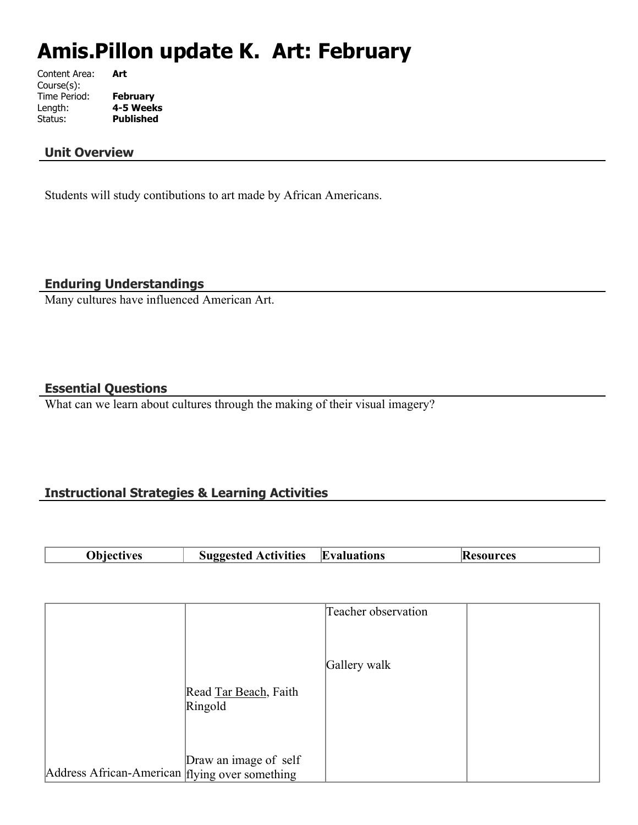# **Amis.Pillon update K. Art: February**

Content Area: **Art** Course(s): Time Period: **February** Length: **4-5 Weeks Published** 

## **Unit Overview**

Students will study contibutions to art made by African Americans.

**Enduring Understandings**

Many cultures have influenced American Art.

## **Essential Questions**

What can we learn about cultures through the making of their visual imagery?

# **Instructional Strategies & Learning Activities**

| - - -<br>. |  | <b>TAC</b> | rtivities)<br>$- - - - - -$<br>.<br>. . | $\overline{\phantom{a}}$<br>uations<br>$\cdot$ . | ' E |
|------------|--|------------|-----------------------------------------|--------------------------------------------------|-----|
|------------|--|------------|-----------------------------------------|--------------------------------------------------|-----|

|                                                |                       | Teacher observation |  |
|------------------------------------------------|-----------------------|---------------------|--|
|                                                |                       |                     |  |
|                                                |                       |                     |  |
|                                                |                       | Gallery walk        |  |
|                                                |                       |                     |  |
|                                                | Read Tar Beach, Faith |                     |  |
|                                                | Ringold               |                     |  |
|                                                |                       |                     |  |
|                                                |                       |                     |  |
|                                                | Draw an image of self |                     |  |
| Address African-American flying over something |                       |                     |  |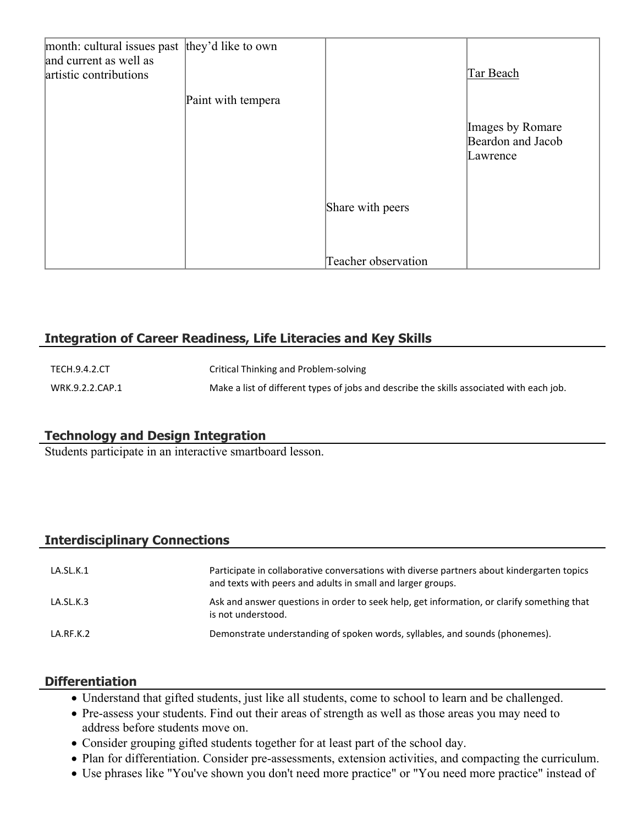| month: cultural issues past they'd like to own<br>and current as well as<br>artistic contributions |                    |                     | Tar Beach                                         |
|----------------------------------------------------------------------------------------------------|--------------------|---------------------|---------------------------------------------------|
|                                                                                                    | Paint with tempera |                     |                                                   |
|                                                                                                    |                    |                     | Images by Romare<br>Beardon and Jacob<br>Lawrence |
|                                                                                                    |                    | Share with peers    |                                                   |
|                                                                                                    |                    | Teacher observation |                                                   |

# **Integration of Career Readiness, Life Literacies and Key Skills**

| TECH.9.4.2.CT   | Critical Thinking and Problem-solving                                                    |
|-----------------|------------------------------------------------------------------------------------------|
| WRK.9.2.2.CAP.1 | Make a list of different types of jobs and describe the skills associated with each job. |

# **Technology and Design Integration**

Students participate in an interactive smartboard lesson.

# **Interdisciplinary Connections**

| LA.SL.K.1 | Participate in collaborative conversations with diverse partners about kindergarten topics<br>and texts with peers and adults in small and larger groups. |
|-----------|-----------------------------------------------------------------------------------------------------------------------------------------------------------|
| LA.SL.K.3 | Ask and answer questions in order to seek help, get information, or clarify something that<br>is not understood.                                          |
| LA.RF.K.2 | Demonstrate understanding of spoken words, syllables, and sounds (phonemes).                                                                              |

## **Differentiation**

- Understand that gifted students, just like all students, come to school to learn and be challenged.
- Pre-assess your students. Find out their areas of strength as well as those areas you may need to address before students move on.
- Consider grouping gifted students together for at least part of the school day.
- Plan for differentiation. Consider pre-assessments, extension activities, and compacting the curriculum.
- Use phrases like "You've shown you don't need more practice" or "You need more practice" instead of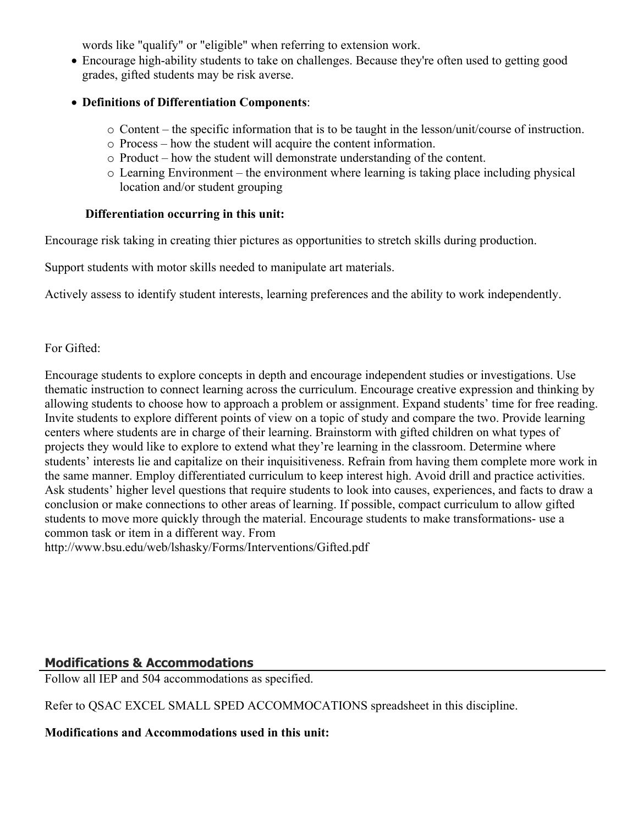words like "qualify" or "eligible" when referring to extension work.

- Encourage high-ability students to take on challenges. Because they're often used to getting good grades, gifted students may be risk averse.
- **Definitions of Differentiation Components**:
	- $\circ$  Content the specific information that is to be taught in the lesson/unit/course of instruction.
	- o Process how the student will acquire the content information.
	- o Product how the student will demonstrate understanding of the content.
	- o Learning Environment the environment where learning is taking place including physical location and/or student grouping

## **Differentiation occurring in this unit:**

Encourage risk taking in creating thier pictures as opportunities to stretch skills during production.

Support students with motor skills needed to manipulate art materials.

Actively assess to identify student interests, learning preferences and the ability to work independently.

## For Gifted:

Encourage students to explore concepts in depth and encourage independent studies or investigations. Use thematic instruction to connect learning across the curriculum. Encourage creative expression and thinking by allowing students to choose how to approach a problem or assignment. Expand students' time for free reading. Invite students to explore different points of view on a topic of study and compare the two. Provide learning centers where students are in charge of their learning. Brainstorm with gifted children on what types of projects they would like to explore to extend what they're learning in the classroom. Determine where students' interests lie and capitalize on their inquisitiveness. Refrain from having them complete more work in the same manner. Employ differentiated curriculum to keep interest high. Avoid drill and practice activities. Ask students' higher level questions that require students to look into causes, experiences, and facts to draw a conclusion or make connections to other areas of learning. If possible, compact curriculum to allow gifted students to move more quickly through the material. Encourage students to make transformations- use a common task or item in a different way. From

http://www.bsu.edu/web/lshasky/Forms/Interventions/Gifted.pdf

# **Modifications & Accommodations**

Follow all IEP and 504 accommodations as specified.

Refer to QSAC EXCEL SMALL SPED ACCOMMOCATIONS spreadsheet in this discipline.

# **Modifications and Accommodations used in this unit:**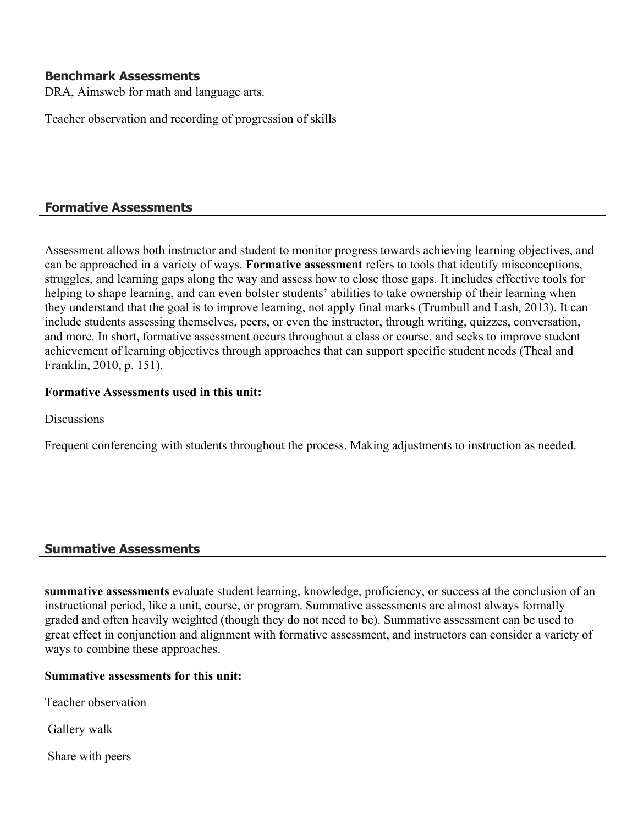#### **Benchmark Assessments**

DRA, Aimsweb for math and language arts.

Teacher observation and recording of progression of skills

## **Formative Assessments**

Assessment allows both instructor and student to monitor progress towards achieving learning objectives, and can be approached in a variety of ways. **Formative assessment** refers to tools that identify misconceptions, struggles, and learning gaps along the way and assess how to close those gaps. It includes effective tools for helping to shape learning, and can even bolster students' abilities to take ownership of their learning when they understand that the goal is to improve learning, not apply final marks (Trumbull and Lash, 2013). It can include students assessing themselves, peers, or even the instructor, through writing, quizzes, conversation, and more. In short, formative assessment occurs throughout a class or course, and seeks to improve student achievement of learning objectives through approaches that can support specific student needs (Theal and Franklin, 2010, p. 151).

#### **Formative Assessments used in this unit:**

**Discussions** 

Frequent conferencing with students throughout the process. Making adjustments to instruction as needed.

## **Summative Assessments**

**summative assessments** evaluate student learning, knowledge, proficiency, or success at the conclusion of an instructional period, like a unit, course, or program. Summative assessments are almost always formally graded and often heavily weighted (though they do not need to be). Summative assessment can be used to great effect in conjunction and alignment with formative assessment, and instructors can consider a variety of ways to combine these approaches.

#### **Summative assessments for this unit:**

Teacher observation

Gallery walk

Share with peers